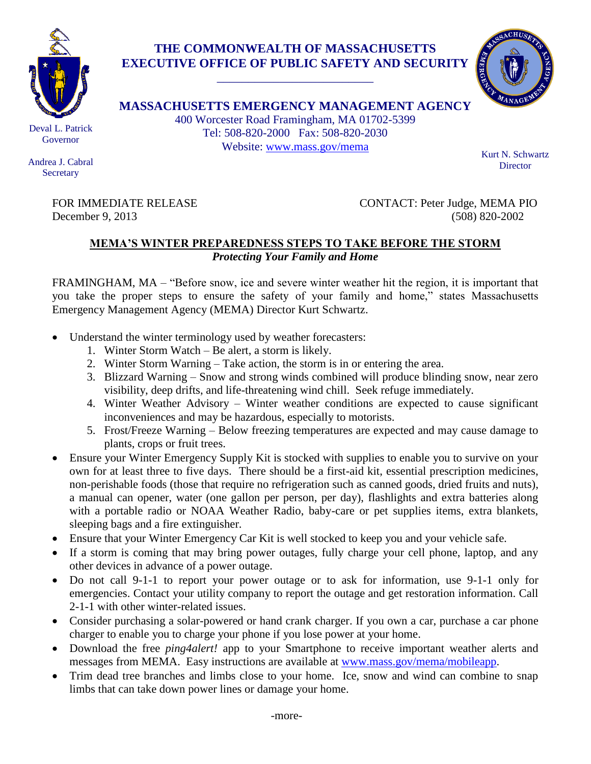

## **THE COMMONWEALTH OF MASSACHUSETTS EXECUTIVE OFFICE OF PUBLIC SAFETY AND SECURITY**

\_\_\_\_\_\_\_\_\_\_\_\_\_\_\_\_\_\_\_\_\_\_\_\_\_



**MASSACHUSETTS EMERGENCY MANAGEMENT AGENCY** 400 Worcester Road Framingham, MA 01702-5399

Tel: 508-820-2000 Fax: 508-820-2030 Website: [www.mass.gov/mema](http://www.mass.gov/mema)

Kurt N. Schwartz **Director** 

Andrea J. Cabral **Secretary** 

FOR IMMEDIATE RELEASE CONTACT: Peter Judge, MEMA PIO December 9, 2013 (508) 820-2002

## **MEMA'S WINTER PREPAREDNESS STEPS TO TAKE BEFORE THE STORM** *Protecting Your Family and Home*

FRAMINGHAM, MA – "Before snow, ice and severe winter weather hit the region, it is important that you take the proper steps to ensure the safety of your family and home," states Massachusetts Emergency Management Agency (MEMA) Director Kurt Schwartz.

- Understand the winter terminology used by weather forecasters:
	- 1. Winter Storm Watch Be alert, a storm is likely.
	- 2. Winter Storm Warning Take action, the storm is in or entering the area.
	- 3. Blizzard Warning Snow and strong winds combined will produce blinding snow, near zero visibility, deep drifts, and life-threatening wind chill. Seek refuge immediately.
	- 4. Winter Weather Advisory Winter weather conditions are expected to cause significant inconveniences and may be hazardous, especially to motorists.
	- 5. Frost/Freeze Warning Below freezing temperatures are expected and may cause damage to plants, crops or fruit trees.
- Ensure your Winter Emergency Supply Kit is stocked with supplies to enable you to survive on your own for at least three to five days. There should be a first-aid kit, essential prescription medicines, non-perishable foods (those that require no refrigeration such as canned goods, dried fruits and nuts), a manual can opener, water (one gallon per person, per day), flashlights and extra batteries along with a portable radio or NOAA Weather Radio, baby-care or pet supplies items, extra blankets, sleeping bags and a fire extinguisher.
- Ensure that your Winter Emergency Car Kit is well stocked to keep you and your vehicle safe.
- If a storm is coming that may bring power outages, fully charge your cell phone, laptop, and any other devices in advance of a power outage.
- Do not call 9-1-1 to report your power outage or to ask for information, use 9-1-1 only for emergencies. Contact your utility company to report the outage and get restoration information. Call 2-1-1 with other winter-related issues.
- Consider purchasing a solar-powered or hand crank charger. If you own a car, purchase a car phone charger to enable you to charge your phone if you lose power at your home.
- Download the free *ping4alert!* app to your Smartphone to receive important weather alerts and messages from MEMA. Easy instructions are available at [www.mass.gov/mema/mobileapp.](http://www.mass.gov/mema/mobileapp)
- Trim dead tree branches and limbs close to your home. Ice, snow and wind can combine to snap limbs that can take down power lines or damage your home.